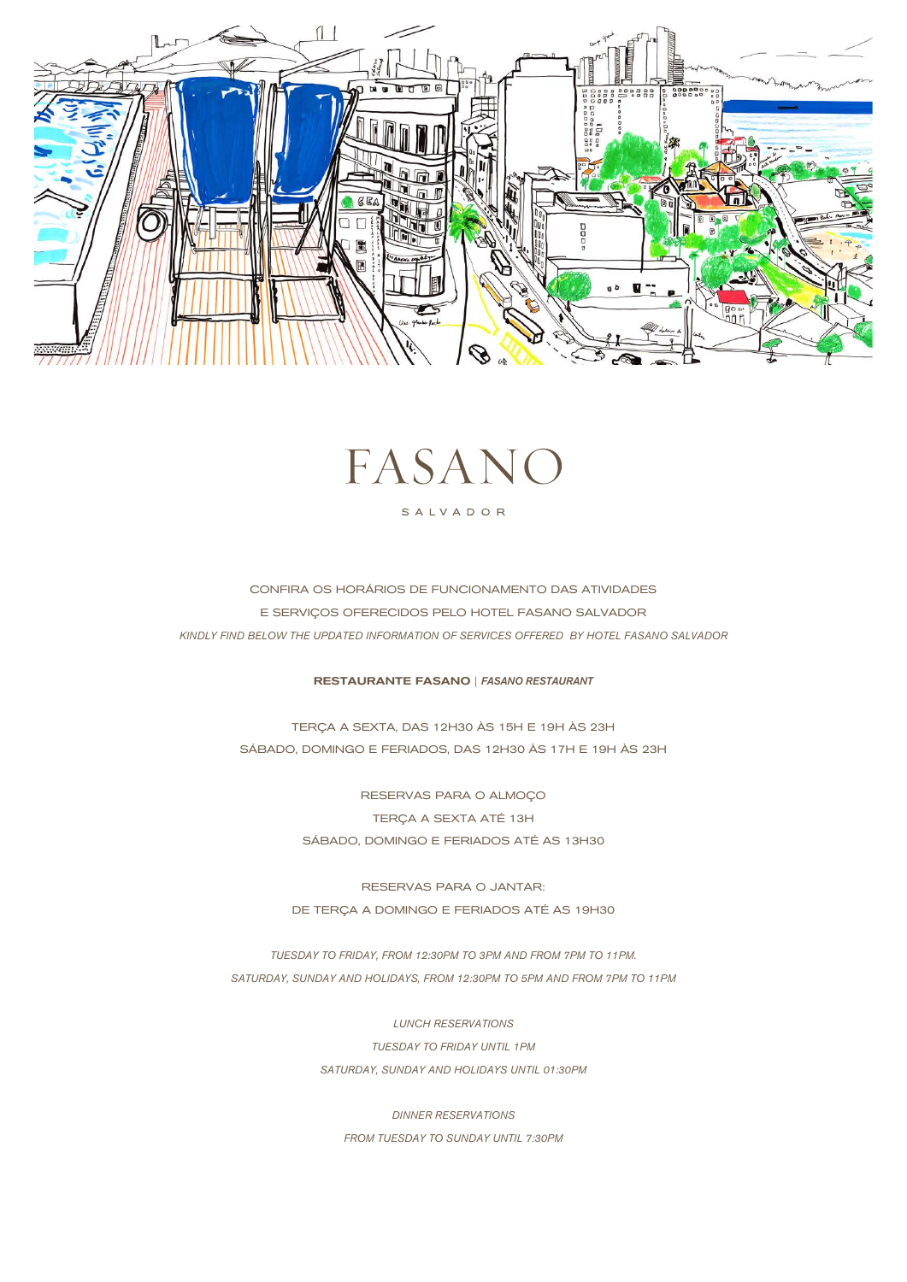



# SALVADOR

CONFIRA OS HORÁRIOS DE FUNCIONAMENTO DAS ATIVIDADES E SERVIÇOS OFERECIDOS PELO HOTEL FASANO SALVADOR *KINDLY FIND BELOW THE UPDATED INFORMATION OF SERVICES OFFERED BY HOTEL FASANO SALVADOR*

## RESTAURANTE FASANO | *FASANO RESTAURANT*

TERÇA A SEXTA, DAS 12H30 ÀS 15H E 19H ÀS 23H SÁBADO, DOMINGO E FERIADOS, DAS 12H30 ÀS 17H E 19H ÀS 23H

> RESERVAS PARA O ALMOÇO TERÇA A SEXTA ATÉ 13H SÁBADO, DOMINGO E FERIADOS ATÉ AS 13H30

RESERVAS PARA O JANTAR: DE TERÇA A DOMINGO E FERIADOS ATÉ AS 19H30

*TUESDAY TO FRIDAY, FROM 12:30PM TO 3PM AND FROM 7PM TO 11PM. SATURDAY, SUNDAY AND HOLIDAYS, FROM 12:30PM TO 5PM AND FROM 7PM TO 11PM*

> *LUNCH RESERVATIONS TUESDAY TO FRIDAY UNTIL 1PM SATURDAY, SUNDAY AND HOLIDAYS UNTIL 01:30PM*

*DINNER RESERVATIONS FROM TUESDAY TO SUNDAY UNTIL 7:30PM*